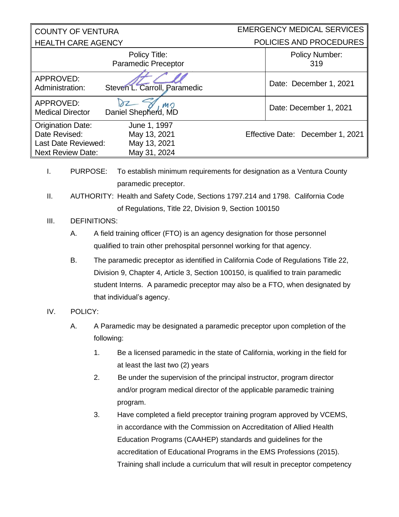| <b>COUNTY OF VENTURA</b>                                                                                                                                                  |                                                                                      |    |                                                                              | <b>EMERGENCY MEDICAL SERVICES</b> |  |
|---------------------------------------------------------------------------------------------------------------------------------------------------------------------------|--------------------------------------------------------------------------------------|----|------------------------------------------------------------------------------|-----------------------------------|--|
| <b>HEALTH CARE AGENCY</b>                                                                                                                                                 |                                                                                      |    |                                                                              | POLICIES AND PROCEDURES           |  |
|                                                                                                                                                                           |                                                                                      |    | Policy Title:<br><b>Paramedic Preceptor</b>                                  | <b>Policy Number:</b><br>319      |  |
| APPROVED:<br>Administration:                                                                                                                                              |                                                                                      |    | Steven L. Carroll, Paramedic                                                 | Date: December 1, 2021            |  |
| APPROVED:<br><b>Medical Director</b>                                                                                                                                      |                                                                                      |    | MO<br>Daniel Shepherd, MD                                                    | Date: December 1, 2021            |  |
| <b>Origination Date:</b><br>Date Revised:<br>Last Date Reviewed:<br><b>Next Review Date:</b>                                                                              |                                                                                      |    | June 1, 1997<br>May 13, 2021<br>May 13, 2021<br>May 31, 2024                 | Effective Date: December 1, 2021  |  |
| <b>PURPOSE:</b><br>To establish minimum requirements for designation as a Ventura County<br>I.<br>paramedic preceptor.                                                    |                                                                                      |    |                                                                              |                                   |  |
|                                                                                                                                                                           | П.<br>AUTHORITY: Health and Safety Code, Sections 1797.214 and 1798. California Code |    |                                                                              |                                   |  |
|                                                                                                                                                                           | of Regulations, Title 22, Division 9, Section 100150                                 |    |                                                                              |                                   |  |
| III.                                                                                                                                                                      | <b>DEFINITIONS:</b>                                                                  |    |                                                                              |                                   |  |
|                                                                                                                                                                           | Α.                                                                                   |    | A field training officer (FTO) is an agency designation for those personnel  |                                   |  |
| qualified to train other prehospital personnel working for that agency.<br><b>B.</b><br>The paramedic preceptor as identified in California Code of Regulations Title 22, |                                                                                      |    |                                                                              |                                   |  |
|                                                                                                                                                                           |                                                                                      |    |                                                                              |                                   |  |
|                                                                                                                                                                           | Division 9, Chapter 4, Article 3, Section 100150, is qualified to train paramedic    |    |                                                                              |                                   |  |
|                                                                                                                                                                           | student Interns. A paramedic preceptor may also be a FTO, when designated by         |    |                                                                              |                                   |  |
|                                                                                                                                                                           |                                                                                      |    | that individual's agency.                                                    |                                   |  |
| IV.                                                                                                                                                                       | POLICY:                                                                              |    |                                                                              |                                   |  |
| A Paramedic may be designated a paramedic preceptor upon completion of the<br>Α.<br>following:                                                                            |                                                                                      |    |                                                                              |                                   |  |
|                                                                                                                                                                           |                                                                                      | 1. | Be a licensed paramedic in the state of California, working in the field for |                                   |  |
|                                                                                                                                                                           |                                                                                      |    | at least the last two (2) years                                              |                                   |  |
|                                                                                                                                                                           |                                                                                      | 2. | Be under the supervision of the principal instructor, program director       |                                   |  |
|                                                                                                                                                                           |                                                                                      |    | and/or program medical director of the applicable paramedic training         |                                   |  |
|                                                                                                                                                                           |                                                                                      |    | program.                                                                     |                                   |  |
|                                                                                                                                                                           |                                                                                      | 3. | Have completed a field preceptor training program approved by VCEMS,         |                                   |  |
|                                                                                                                                                                           |                                                                                      |    | in accordance with the Commission on Accreditation of Allied Health          |                                   |  |
|                                                                                                                                                                           |                                                                                      |    | Education Programs (CAAHEP) standards and guidelines for the                 |                                   |  |
|                                                                                                                                                                           |                                                                                      |    | accreditation of Educational Programs in the EMS Professions (2015).         |                                   |  |
|                                                                                                                                                                           |                                                                                      |    | Training shall include a curriculum that will result in preceptor competency |                                   |  |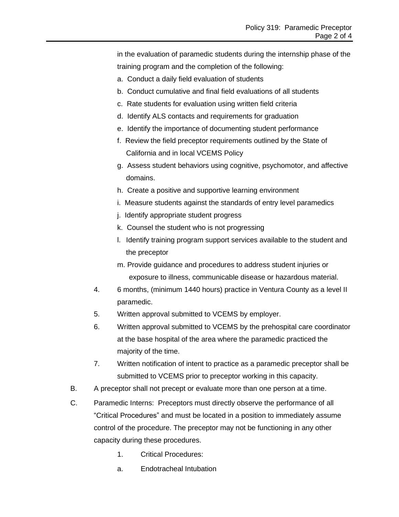in the evaluation of paramedic students during the internship phase of the training program and the completion of the following:

- a. Conduct a daily field evaluation of students
- b. Conduct cumulative and final field evaluations of all students
- c. Rate students for evaluation using written field criteria
- d. Identify ALS contacts and requirements for graduation
- e. Identify the importance of documenting student performance
- f. Review the field preceptor requirements outlined by the State of California and in local VCEMS Policy
- g. Assess student behaviors using cognitive, psychomotor, and affective domains.
- h. Create a positive and supportive learning environment
- i. Measure students against the standards of entry level paramedics
- j. Identify appropriate student progress
- k. Counsel the student who is not progressing
- l. Identify training program support services available to the student and the preceptor
- m. Provide guidance and procedures to address student injuries or exposure to illness, communicable disease or hazardous material.
- 4. 6 months, (minimum 1440 hours) practice in Ventura County as a level II paramedic.
- 5. Written approval submitted to VCEMS by employer.
- 6. Written approval submitted to VCEMS by the prehospital care coordinator at the base hospital of the area where the paramedic practiced the majority of the time.
- 7. Written notification of intent to practice as a paramedic preceptor shall be submitted to VCEMS prior to preceptor working in this capacity.
- B. A preceptor shall not precept or evaluate more than one person at a time.
- C. Paramedic Interns: Preceptors must directly observe the performance of all "Critical Procedures" and must be located in a position to immediately assume control of the procedure. The preceptor may not be functioning in any other capacity during these procedures.
	- 1. Critical Procedures:
	- a. Endotracheal Intubation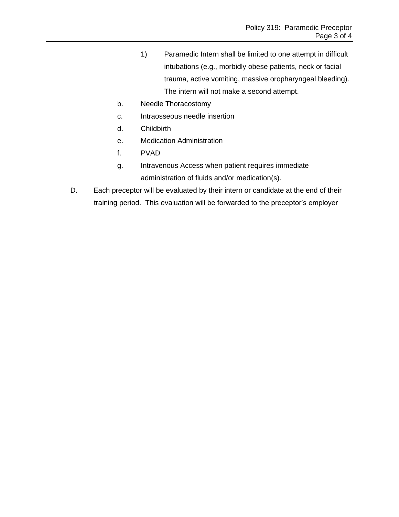- 1) Paramedic Intern shall be limited to one attempt in difficult intubations (e.g., morbidly obese patients, neck or facial trauma, active vomiting, massive oropharyngeal bleeding). The intern will not make a second attempt.
- b. Needle Thoracostomy
- c. Intraosseous needle insertion
- d. Childbirth
- e. Medication Administration
- f. PVAD
- g. Intravenous Access when patient requires immediate administration of fluids and/or medication(s).
- D. Each preceptor will be evaluated by their intern or candidate at the end of their training period. This evaluation will be forwarded to the preceptor's employer